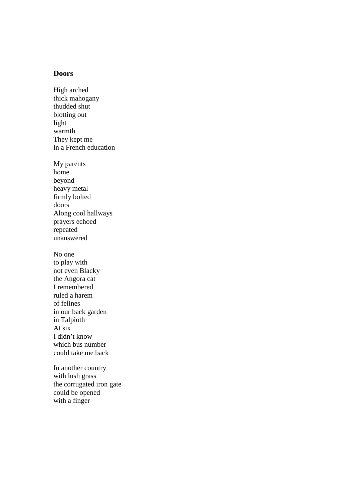## **Doors**

High arched thick mahogany thudded shut blotting out light warmth They kept me in a French education My parents home beyond heavy metal firmly bolted doors Along cool hallways prayers echoed repeated unanswered No one to play with not even Blacky the Angora cat I remembered ruled a harem of felines in our back garden in Talpioth At six I didn't know which bus number could take me back In another country

with lush grass the corrugated iron gate could be opened with a finger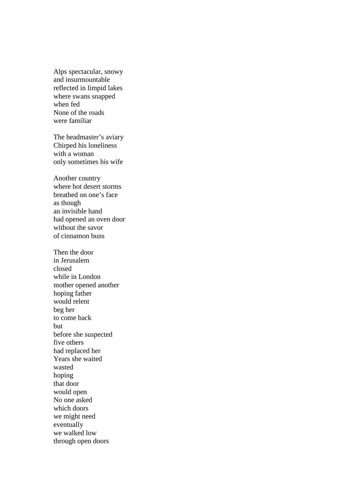Alps spectacular, snowy and insurmountable reflected in limpid lakes where swans snapped when fed None of the roads were familiar

The headmaster's aviary Chirped his loneliness with a woman only sometimes his wife

Another country where hot desert storms breathed on one's face as though an invisible hand had opened an oven door without the savor of cinnamon buns

Then the door in Jerusalem closed while in London mother opened another hoping father would relent beg her to come back but before she suspected five others had replaced her Years she waited wasted hoping that door would open No one asked which doors we might need eventually we walked low through open doors